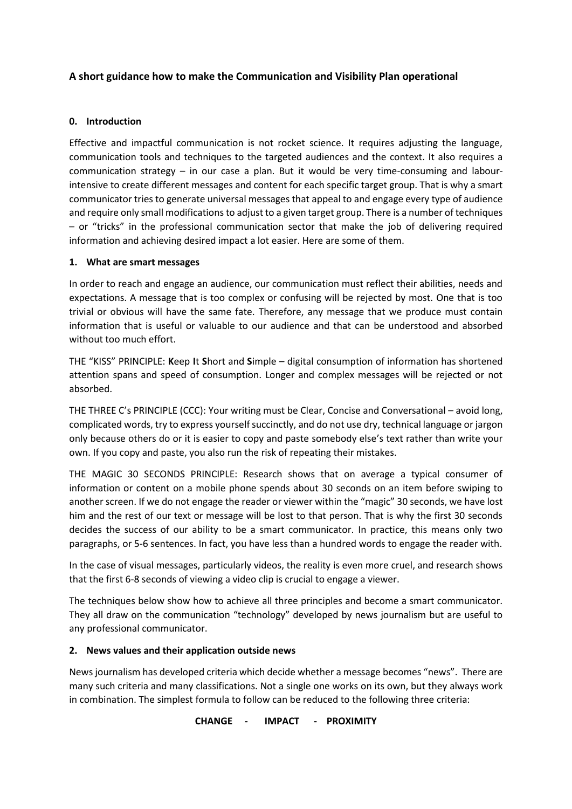## **A short guidance how to make the Communication and Visibility Plan operational**

#### **0. Introduction**

Effective and impactful communication is not rocket science. It requires adjusting the language, communication tools and techniques to the targeted audiences and the context. It also requires a communication strategy – in our case a plan. But it would be very time-consuming and labourintensive to create different messages and content for each specific target group. That is why a smart communicator tries to generate universal messages that appeal to and engage every type of audience and require only small modifications to adjust to a given target group. There is a number of techniques – or "tricks" in the professional communication sector that make the job of delivering required information and achieving desired impact a lot easier. Here are some of them.

#### **1. What are smart messages**

In order to reach and engage an audience, our communication must reflect their abilities, needs and expectations. A message that is too complex or confusing will be rejected by most. One that is too trivial or obvious will have the same fate. Therefore, any message that we produce must contain information that is useful or valuable to our audience and that can be understood and absorbed without too much effort.

THE "KISS" PRINCIPLE: **K**eep **I**t **S**hort and **S**imple – digital consumption of information has shortened attention spans and speed of consumption. Longer and complex messages will be rejected or not absorbed.

THE THREE C's PRINCIPLE (CCC): Your writing must be Clear, Concise and Conversational – avoid long, complicated words, try to express yourself succinctly, and do not use dry, technical language or jargon only because others do or it is easier to copy and paste somebody else's text rather than write your own. If you copy and paste, you also run the risk of repeating their mistakes.

THE MAGIC 30 SECONDS PRINCIPLE: Research shows that on average a typical consumer of information or content on a mobile phone spends about 30 seconds on an item before swiping to another screen. If we do not engage the reader or viewer within the "magic" 30 seconds, we have lost him and the rest of our text or message will be lost to that person. That is why the first 30 seconds decides the success of our ability to be a smart communicator. In practice, this means only two paragraphs, or 5-6 sentences. In fact, you have less than a hundred words to engage the reader with.

In the case of visual messages, particularly videos, the reality is even more cruel, and research shows that the first 6-8 seconds of viewing a video clip is crucial to engage a viewer.

The techniques below show how to achieve all three principles and become a smart communicator. They all draw on the communication "technology" developed by news journalism but are useful to any professional communicator.

### **2. News values and their application outside news**

News journalism has developed criteria which decide whether a message becomes "news". There are many such criteria and many classifications. Not a single one works on its own, but they always work in combination. The simplest formula to follow can be reduced to the following three criteria:

#### **CHANGE - IMPACT - PROXIMITY**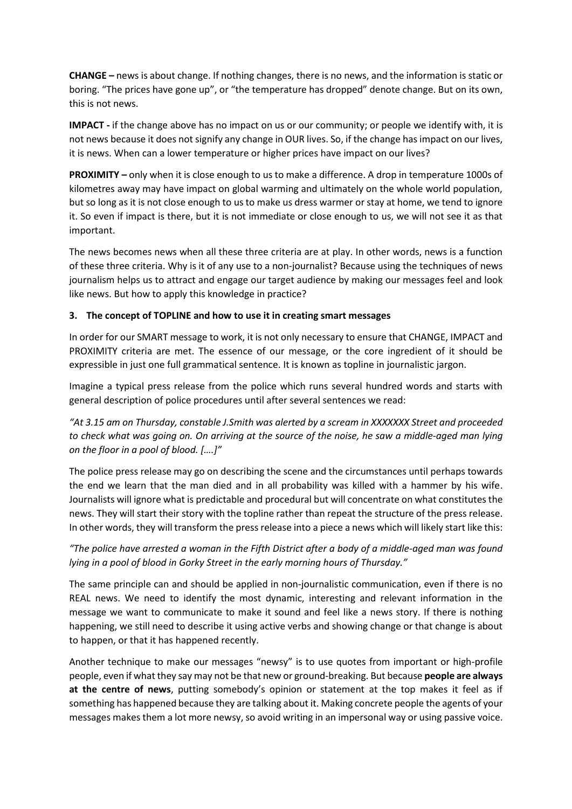**CHANGE –** news is about change. If nothing changes, there is no news, and the information is static or boring. "The prices have gone up", or "the temperature has dropped" denote change. But on its own, this is not news.

**IMPACT -** if the change above has no impact on us or our community; or people we identify with, it is not news because it does not signify any change in OUR lives. So, if the change has impact on our lives, it is news. When can a lower temperature or higher prices have impact on our lives?

**PROXIMITY –** only when it is close enough to us to make a difference. A drop in temperature 1000s of kilometres away may have impact on global warming and ultimately on the whole world population, but so long as it is not close enough to us to make us dress warmer or stay at home, we tend to ignore it. So even if impact is there, but it is not immediate or close enough to us, we will not see it as that important.

The news becomes news when all these three criteria are at play. In other words, news is a function of these three criteria. Why is it of any use to a non-journalist? Because using the techniques of news journalism helps us to attract and engage our target audience by making our messages feel and look like news. But how to apply this knowledge in practice?

### **3. The concept of TOPLINE and how to use it in creating smart messages**

In order for our SMART message to work, it is not only necessary to ensure that CHANGE, IMPACT and PROXIMITY criteria are met. The essence of our message, or the core ingredient of it should be expressible in just one full grammatical sentence. It is known as topline in journalistic jargon.

Imagine a typical press release from the police which runs several hundred words and starts with general description of police procedures until after several sentences we read:

*"At 3.15 am on Thursday, constable J.Smith was alerted by a scream in XXXXXXX Street and proceeded to check what was going on. On arriving at the source of the noise, he saw a middle-aged man lying on the floor in a pool of blood. [….]"*

The police press release may go on describing the scene and the circumstances until perhaps towards the end we learn that the man died and in all probability was killed with a hammer by his wife. Journalists will ignore what is predictable and procedural but will concentrate on what constitutes the news. They will start their story with the topline rather than repeat the structure of the press release. In other words, they will transform the press release into a piece a news which will likely start like this:

# *"The police have arrested a woman in the Fifth District after a body of a middle-aged man was found lying in a pool of blood in Gorky Street in the early morning hours of Thursday."*

The same principle can and should be applied in non-journalistic communication, even if there is no REAL news. We need to identify the most dynamic, interesting and relevant information in the message we want to communicate to make it sound and feel like a news story. If there is nothing happening, we still need to describe it using active verbs and showing change or that change is about to happen, or that it has happened recently.

Another technique to make our messages "newsy" is to use quotes from important or high-profile people, even if what they say may not be that new or ground-breaking. But because **people are always at the centre of news**, putting somebody's opinion or statement at the top makes it feel as if something has happened because they are talking about it. Making concrete people the agents of your messages makes them a lot more newsy, so avoid writing in an impersonal way or using passive voice.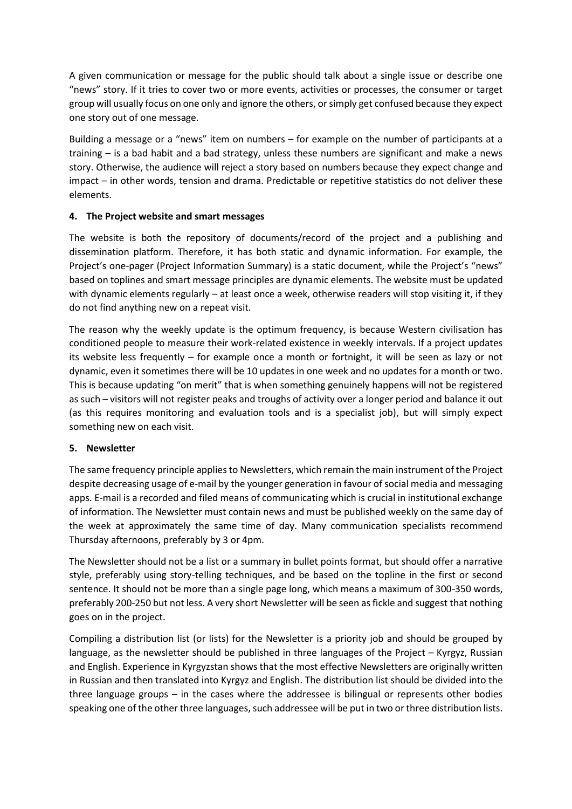A given communication or message for the public should talk about a single issue or describe one "news" story. If it tries to cover two or more events, activities or processes, the consumer or target group will usually focus on one only and ignore the others, or simply get confused because they expect one story out of one message.

Building a message or a "news" item on numbers – for example on the number of participants at a training – is a bad habit and a bad strategy, unless these numbers are significant and make a news story. Otherwise, the audience will reject a story based on numbers because they expect change and impact – in other words, tension and drama. Predictable or repetitive statistics do not deliver these elements.

### **4. The Project website and smart messages**

The website is both the repository of documents/record of the project and a publishing and dissemination platform. Therefore, it has both static and dynamic information. For example, the Project's one-pager (Project Information Summary) is a static document, while the Project's "news" based on toplines and smart message principles are dynamic elements. The website must be updated with dynamic elements regularly - at least once a week, otherwise readers will stop visiting it, if they do not find anything new on a repeat visit.

The reason why the weekly update is the optimum frequency, is because Western civilisation has conditioned people to measure their work-related existence in weekly intervals. If a project updates its website less frequently – for example once a month or fortnight, it will be seen as lazy or not dynamic, even it sometimes there will be 10 updates in one week and no updates for a month or two. This is because updating "on merit" that is when something genuinely happens will not be registered as such – visitors will not register peaks and troughs of activity over a longer period and balance it out (as this requires monitoring and evaluation tools and is a specialist job), but will simply expect something new on each visit.

### **5. Newsletter**

The same frequency principle applies to Newsletters, which remain the main instrument of the Project despite decreasing usage of e-mail by the younger generation in favour of social media and messaging apps. E-mail is a recorded and filed means of communicating which is crucial in institutional exchange of information. The Newsletter must contain news and must be published weekly on the same day of the week at approximately the same time of day. Many communication specialists recommend Thursday afternoons, preferably by 3 or 4pm.

The Newsletter should not be a list or a summary in bullet points format, but should offer a narrative style, preferably using story-telling techniques, and be based on the topline in the first or second sentence. It should not be more than a single page long, which means a maximum of 300-350 words, preferably 200-250 but not less. A very short Newsletter will be seen as fickle and suggest that nothing goes on in the project.

Compiling a distribution list (or lists) for the Newsletter is a priority job and should be grouped by language, as the newsletter should be published in three languages of the Project – Kyrgyz, Russian and English. Experience in Kyrgyzstan shows that the most effective Newsletters are originally written in Russian and then translated into Kyrgyz and English. The distribution list should be divided into the three language groups – in the cases where the addressee is bilingual or represents other bodies speaking one of the other three languages, such addressee will be put in two or three distribution lists.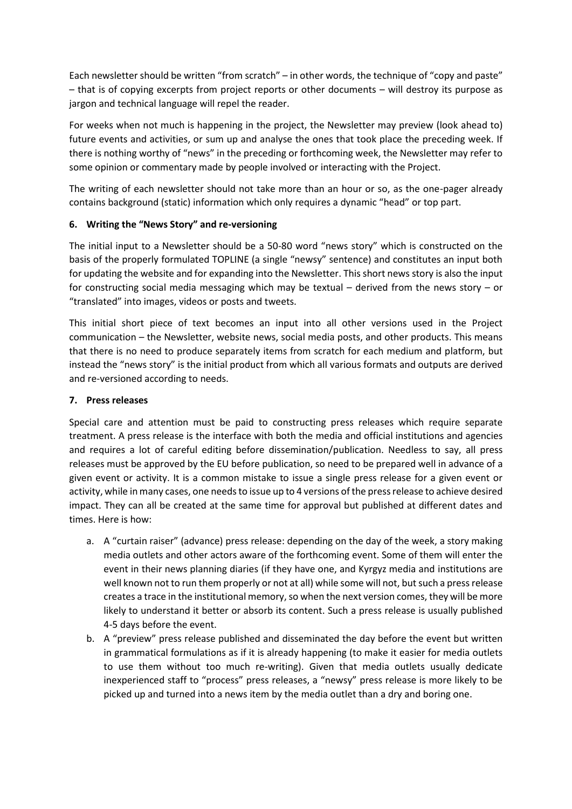Each newsletter should be written "from scratch" – in other words, the technique of "copy and paste" – that is of copying excerpts from project reports or other documents – will destroy its purpose as jargon and technical language will repel the reader.

For weeks when not much is happening in the project, the Newsletter may preview (look ahead to) future events and activities, or sum up and analyse the ones that took place the preceding week. If there is nothing worthy of "news" in the preceding or forthcoming week, the Newsletter may refer to some opinion or commentary made by people involved or interacting with the Project.

The writing of each newsletter should not take more than an hour or so, as the one-pager already contains background (static) information which only requires a dynamic "head" or top part.

### **6. Writing the "News Story" and re-versioning**

The initial input to a Newsletter should be a 50-80 word "news story" which is constructed on the basis of the properly formulated TOPLINE (a single "newsy" sentence) and constitutes an input both for updating the website and for expanding into the Newsletter. This short news story is also the input for constructing social media messaging which may be textual – derived from the news story – or "translated" into images, videos or posts and tweets.

This initial short piece of text becomes an input into all other versions used in the Project communication – the Newsletter, website news, social media posts, and other products. This means that there is no need to produce separately items from scratch for each medium and platform, but instead the "news story" is the initial product from which all various formats and outputs are derived and re-versioned according to needs.

#### **7. Press releases**

Special care and attention must be paid to constructing press releases which require separate treatment. A press release is the interface with both the media and official institutions and agencies and requires a lot of careful editing before dissemination/publication. Needless to say, all press releases must be approved by the EU before publication, so need to be prepared well in advance of a given event or activity. It is a common mistake to issue a single press release for a given event or activity, while in many cases, one needs to issue up to 4 versions of the press release to achieve desired impact. They can all be created at the same time for approval but published at different dates and times. Here is how:

- a. A "curtain raiser" (advance) press release: depending on the day of the week, a story making media outlets and other actors aware of the forthcoming event. Some of them will enter the event in their news planning diaries (if they have one, and Kyrgyz media and institutions are well known not to run them properly or not at all) while some will not, but such a press release creates a trace in the institutional memory, so when the next version comes, they will be more likely to understand it better or absorb its content. Such a press release is usually published 4-5 days before the event.
- b. A "preview" press release published and disseminated the day before the event but written in grammatical formulations as if it is already happening (to make it easier for media outlets to use them without too much re-writing). Given that media outlets usually dedicate inexperienced staff to "process" press releases, a "newsy" press release is more likely to be picked up and turned into a news item by the media outlet than a dry and boring one.